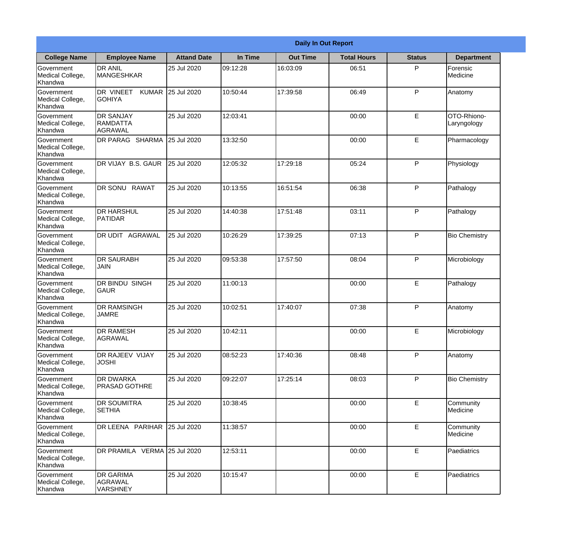|                                                  |                                                       |                    |          | <b>Daily In Out Report</b> |                    |               |                            |
|--------------------------------------------------|-------------------------------------------------------|--------------------|----------|----------------------------|--------------------|---------------|----------------------------|
| <b>College Name</b>                              | <b>Employee Name</b>                                  | <b>Attand Date</b> | In Time  | <b>Out Time</b>            | <b>Total Hours</b> | <b>Status</b> | <b>Department</b>          |
| Government<br>Medical College,<br>Khandwa        | <b>DR ANIL</b><br><b>MANGESHKAR</b>                   | 25 Jul 2020        | 09:12:28 | 16:03:09                   | 06:51              | P             | Forensic<br>Medicine       |
| Government<br>Medical College,<br>Khandwa        | DR VINEET<br><b>GOHIYA</b>                            | KUMAR 25 Jul 2020  | 10:50:44 | 17:39:58                   | 06:49              | P             | Anatomy                    |
| <b>Government</b><br>Medical College,<br>Khandwa | <b>DR SANJAY</b><br><b>RAMDATTA</b><br>AGRAWAL        | 25 Jul 2020        | 12:03:41 |                            | 00:00              | E             | OTO-Rhiono-<br>Laryngology |
| <b>Government</b><br>Medical College,<br>Khandwa | <b>DR PARAG SHARMA</b>                                | 25 Jul 2020        | 13:32:50 |                            | 00:00              | E             | Pharmacology               |
| Government<br>Medical College,<br>Khandwa        | DR VIJAY B.S. GAUR                                    | 25 Jul 2020        | 12:05:32 | 17:29:18                   | 05:24              | P             | Physiology                 |
| Government<br>Medical College,<br>Khandwa        | DR SONU RAWAT                                         | 25 Jul 2020        | 10:13:55 | 16:51:54                   | 06:38              | P             | Pathalogy                  |
| <b>Government</b><br>Medical College,<br>Khandwa | <b>DR HARSHUL</b><br><b>PATIDAR</b>                   | 25 Jul 2020        | 14:40:38 | 17:51:48                   | 03:11              | P             | Pathalogy                  |
| Government<br>Medical College,<br>Khandwa        | DR UDIT AGRAWAL                                       | 25 Jul 2020        | 10:26:29 | 17:39:25                   | 07:13              | P             | <b>Bio Chemistry</b>       |
| Government<br>Medical College,<br>Khandwa        | <b>DR SAURABH</b><br><b>JAIN</b>                      | 25 Jul 2020        | 09:53:38 | 17:57:50                   | 08:04              | P             | Microbiology               |
| Government<br>Medical College,<br>Khandwa        | <b>DR BINDU SINGH</b><br> GAUR                        | 25 Jul 2020        | 11:00:13 |                            | 00:00              | $\mathsf E$   | Pathalogy                  |
| Government<br>Medical College,<br>Khandwa        | <b>IDR RAMSINGH</b><br><b>JAMRE</b>                   | 25 Jul 2020        | 10:02:51 | 17:40:07                   | 07:38              | P             | Anatomy                    |
| Government<br>Medical College,<br>Khandwa        | <b>DR RAMESH</b><br>AGRAWAL                           | 25 Jul 2020        | 10:42:11 |                            | 00:00              | E             | Microbiology               |
| Government<br>Medical College,<br>Khandwa        | <b>DR RAJEEV VIJAY</b><br><b>JOSHI</b>                | 25 Jul 2020        | 08:52:23 | 17:40:36                   | 08:48              | P             | Anatomy                    |
| Government<br>Medical College,<br>Khandwa        | <b>DR DWARKA</b><br><b>PRASAD GOTHRE</b>              | 25 Jul 2020        | 09:22:07 | 17:25:14                   | 08:03              | P             | <b>Bio Chemistry</b>       |
| Government<br>Medical College,<br>Khandwa        | <b>DR SOUMITRA</b><br><b>SETHIA</b>                   | 25 Jul 2020        | 10:38:45 |                            | 00:00              | E             | Community<br>Medicine      |
| Government<br>Medical College,<br>Khandwa        | DR LEENA PARIHAR                                      | 25 Jul 2020        | 11:38:57 |                            | 00:00              | E             | Community<br>Medicine      |
| Government<br>Medical College,<br>Khandwa        | DR PRAMILA VERMA 25 Jul 2020                          |                    | 12:53:11 |                            | 00:00              | E             | Paediatrics                |
| Government<br>Medical College,<br>Khandwa        | <b>DR GARIMA</b><br><b>AGRAWAL</b><br><b>VARSHNEY</b> | 25 Jul 2020        | 10:15:47 |                            | 00:00              | $\mathsf E$   | Paediatrics                |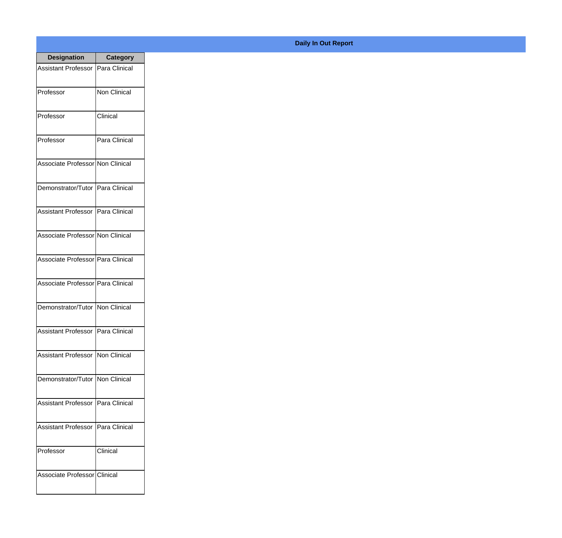| <b>Designation</b>                  | <b>Category</b>     |
|-------------------------------------|---------------------|
| Assistant Professor   Para Clinical |                     |
| Professor                           | <b>Non Clinical</b> |
| Professor                           | Clinical            |
| Professor                           | Para Clinical       |
| Associate Professor Non Clinical    |                     |
| Demonstrator/Tutor   Para Clinical  |                     |
| Assistant Professor   Para Clinical |                     |
| Associate Professor Non Clinical    |                     |
| Associate Professor Para Clinical   |                     |
| Associate Professor   Para Clinical |                     |
| Demonstrator/Tutor   Non Clinical   |                     |
| Assistant Professor   Para Clinical |                     |
| Assistant Professor   Non Clinical  |                     |
| Demonstrator/Tutor   Non Clinical   |                     |
| Assistant Professor                 | Para Clinical       |
| <b>Assistant Professor</b>          | Para Clinical       |
| Professor                           | Clinical            |
| Associate Professor Clinical        |                     |

## **Daily In Out Report**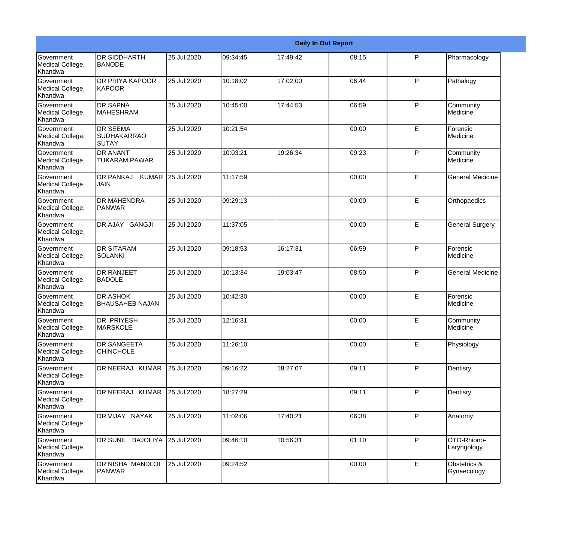|                                                  |                                                |             |          |          | <b>Daily In Out Report</b> |              |                             |
|--------------------------------------------------|------------------------------------------------|-------------|----------|----------|----------------------------|--------------|-----------------------------|
| Government<br>Medical College,<br>Khandwa        | <b>DR SIDDHARTH</b><br><b>BANODE</b>           | 25 Jul 2020 | 09:34:45 | 17:49:42 | 08:15                      | P            | Pharmacology                |
| Government<br>Medical College,<br>Khandwa        | <b>DR PRIYA KAPOOR</b><br><b>KAPOOR</b>        | 25 Jul 2020 | 10:18:02 | 17:02:00 | 06:44                      | $\mathsf{P}$ | Pathalogy                   |
| Government<br>Medical College,<br>Khandwa        | <b>DR SAPNA</b><br><b>MAHESHRAM</b>            | 25 Jul 2020 | 10:45:00 | 17:44:53 | 06:59                      | $\mathsf{P}$ | Community<br>Medicine       |
| Government<br>Medical College,<br>Khandwa        | <b>DR SEEMA</b><br><b>SUDHAKARRAO</b><br>SUTAY | 25 Jul 2020 | 10:21:54 |          | 00:00                      | E            | Forensic<br>Medicine        |
| <b>Government</b><br>Medical College,<br>Khandwa | <b>DR ANANT</b><br><b>TUKARAM PAWAR</b>        | 25 Jul 2020 | 10:03:21 | 19:26:34 | 09:23                      | $\mathsf{P}$ | Community<br>Medicine       |
| Government<br>Medical College,<br>Khandwa        | <b>DR PANKAJ</b><br><b>KUMAR</b><br> JAIN      | 25 Jul 2020 | 11:17:59 |          | 00:00                      | E            | <b>General Medicine</b>     |
| Government<br>Medical College,<br>Khandwa        | <b>DR MAHENDRA</b><br><b>PANWAR</b>            | 25 Jul 2020 | 09:29:13 |          | 00:00                      | E            | Orthopaedics                |
| Government<br>Medical College,<br>Khandwa        | DR AJAY GANGJI                                 | 25 Jul 2020 | 11:37:05 |          | 00:00                      | E            | <b>General Surgery</b>      |
| <b>Government</b><br>Medical College,<br>Khandwa | <b>DR SITARAM</b><br><b>SOLANKI</b>            | 25 Jul 2020 | 09:18:53 | 16:17:31 | 06:59                      | $\mathsf{P}$ | Forensic<br>Medicine        |
| <b>Government</b><br>Medical College,<br>Khandwa | <b>DR RANJEET</b><br><b>BADOLE</b>             | 25 Jul 2020 | 10:13:34 | 19:03:47 | 08:50                      | P            | <b>General Medicine</b>     |
| Government<br>Medical College,<br>Khandwa        | <b>DR ASHOK</b><br><b>BHAUSAHEB NAJAN</b>      | 25 Jul 2020 | 10:42:30 |          | 00:00                      | E            | Forensic<br>Medicine        |
| Government<br>Medical College,<br>Khandwa        | DR PRIYESH<br><b>MARSKOLE</b>                  | 25 Jul 2020 | 12:16:31 |          | 00:00                      | E            | Community<br>Medicine       |
| Government<br>Medical College,<br>Khandwa        | DR SANGEETA<br><b>CHINCHOLE</b>                | 25 Jul 2020 | 11:26:10 |          | 00:00                      | E            | Physiology                  |
| Government<br>Medical College,<br>Khandwa        | DR NEERAJ KUMAR                                | 25 Jul 2020 | 09:16:22 | 18:27:07 | 09:11                      | P            | Dentisry                    |
| Government<br>Medical College,<br>Khandwa        | DR NEERAJ KUMAR                                | 25 Jul 2020 | 18:27:29 |          | 09:11                      | $\mathsf{P}$ | Dentisry                    |
| Government<br>Medical College,<br>Khandwa        | DR VIJAY NAYAK                                 | 25 Jul 2020 | 11:02:06 | 17:40:21 | 06:38                      | P            | Anatomy                     |
| Government<br>Medical College,<br>Khandwa        | DR SUNIL BAJOLIYA                              | 25 Jul 2020 | 09:46:10 | 10:56:31 | 01:10                      | P            | OTO-Rhiono-<br>Laryngology  |
| Government<br>Medical College,<br>Khandwa        | DR NISHA MANDLOI<br><b>PANWAR</b>              | 25 Jul 2020 | 09:24:52 |          | 00:00                      | E            | Obstetrics &<br>Gynaecology |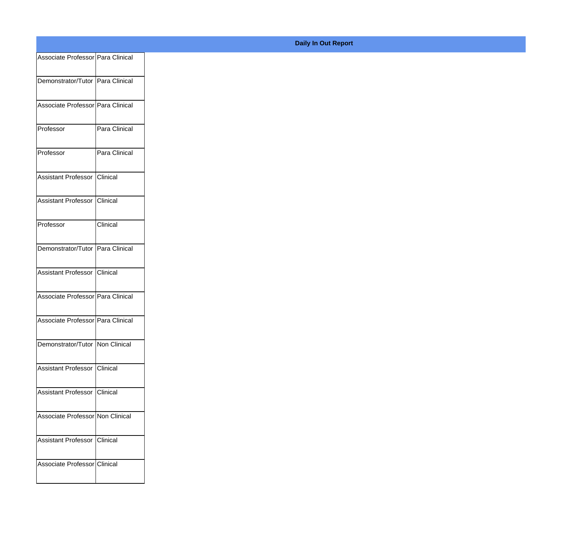| Associate Professor   Para Clinical |               |
|-------------------------------------|---------------|
| Demonstrator/Tutor Para Clinical    |               |
|                                     |               |
| Associate Professor Para Clinical   |               |
| Professor                           | Para Clinical |
|                                     |               |
| Professor                           | Para Clinical |
| Assistant Professor Clinical        |               |
|                                     |               |
| Assistant Professor Clinical        |               |
| Professor                           | Clinical      |
|                                     |               |
| Demonstrator/Tutor Para Clinical    |               |
| Assistant Professor Clinical        |               |
|                                     |               |
| Associate Professor Para Clinical   |               |
| Associate Professor Para Clinical   |               |
|                                     |               |
| Demonstrator/Tutor Non Clinical     |               |
| Assistant Professor Clinical        |               |
|                                     |               |
| Assistant Professor Clinical        |               |
| Associate Professor Non Clinical    |               |
|                                     |               |
| Assistant Professor Clinical        |               |
| Associate Professor Clinical        |               |
|                                     |               |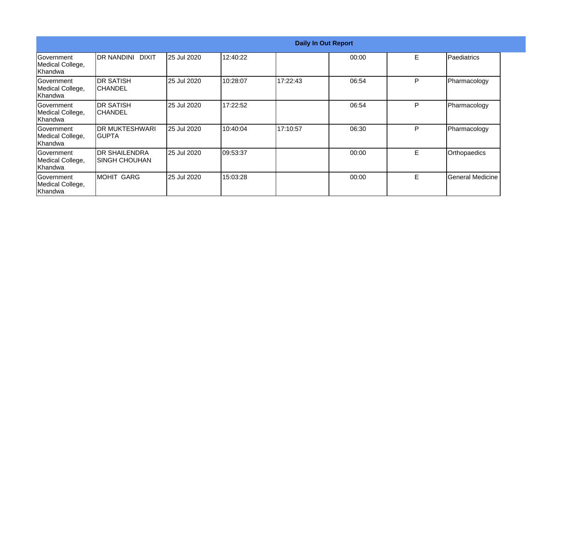|                                                  |                                         |             |          | <b>Daily In Out Report</b> |       |    |                         |
|--------------------------------------------------|-----------------------------------------|-------------|----------|----------------------------|-------|----|-------------------------|
| <b>Government</b><br>Medical College,<br>Khandwa | DR NANDINI DIXIT                        | 25 Jul 2020 | 12:40:22 |                            | 00:00 | E. | Paediatrics             |
| Government<br>Medical College,<br> Khandwa       | <b>DR SATISH</b><br><b>CHANDEL</b>      | 25 Jul 2020 | 10:28:07 | 17:22:43                   | 06:54 | P  | Pharmacology            |
| Government<br>Medical College,<br>Khandwa        | <b>DR SATISH</b><br>ICHANDEL            | 25 Jul 2020 | 17:22:52 |                            | 06:54 | P  | Pharmacology            |
| <b>Sovernment</b><br>Medical College,<br>Khandwa | <b>DR MUKTESHWARI</b><br>IGUPTA         | 25 Jul 2020 | 10:40:04 | 17:10:57                   | 06:30 | P  | Pharmacology            |
| Government<br>Medical College,<br>Khandwa        | <b>IDR SHAILENDRA</b><br>ISINGH CHOUHAN | 25 Jul 2020 | 09:53:37 |                            | 00:00 | E. | Orthopaedics            |
| Government<br>Medical College,<br>Khandwa        | <b>MOHIT GARG</b>                       | 25 Jul 2020 | 15:03:28 |                            | 00:00 | E  | <b>General Medicine</b> |